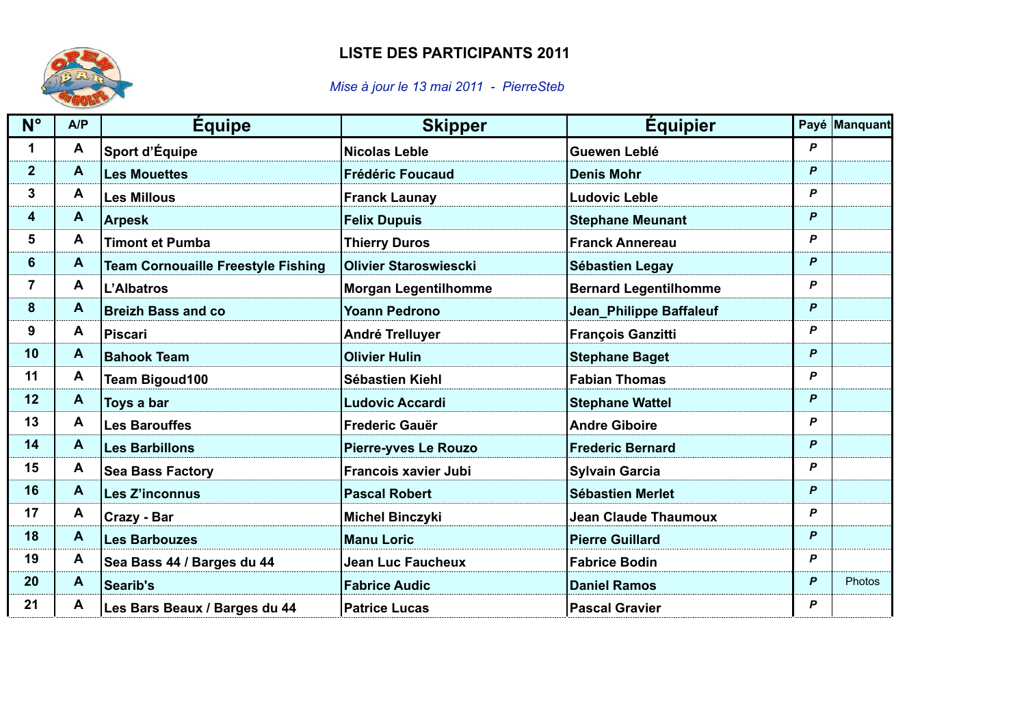## **LISTE DES PARTICIPANTS 2011**



## *Mise à jour le 13 mai 2011 - PierreSteb*

| $N^{\circ}$     | A/P          | <b>Équipe</b>                             | <b>Skipper</b>               | <b>Equipier</b>              |                  | Payé Manquant |
|-----------------|--------------|-------------------------------------------|------------------------------|------------------------------|------------------|---------------|
| 1               | A            | Sport d'Équipe                            | <b>Nicolas Leble</b>         | Guewen Leblé                 | P                |               |
| 2 <sup>1</sup>  | A            | <b>Les Mouettes</b>                       | <b>Frédéric Foucaud</b>      | <b>Denis Mohr</b>            | P                |               |
| 3 <sup>1</sup>  | $\mathbf{A}$ | <b>Les Millous</b>                        | <b>Franck Launay</b>         | <b>Ludovic Leble</b>         | P                |               |
| 4               | $\mathbf{A}$ | <b>Arpesk</b>                             | <b>Felix Dupuis</b>          | <b>Stephane Meunant</b>      | P                |               |
| 5 <sup>5</sup>  | A            | <b>Timont et Pumba</b>                    | <b>Thierry Duros</b>         | <b>Franck Annereau</b>       | P                |               |
| 6               | A            | <b>Team Cornouaille Freestyle Fishing</b> | <b>Olivier Staroswiescki</b> | Sébastien Legay              | P                |               |
| $\overline{7}$  | A            | L'Albatros                                | <b>Morgan Legentilhomme</b>  | <b>Bernard Legentilhomme</b> | P                |               |
| 8               | $\mathbf{A}$ | <b>Breizh Bass and co</b>                 | <b>Yoann Pedrono</b>         | Jean_Philippe Baffaleuf      | $\mathbf{P}$     |               |
| 9               | A            | <b>Piscari</b>                            | <b>André Trelluyer</b>       | <b>François Ganzitti</b>     | P                |               |
| 10              | $\mathbf{A}$ | <b>Bahook Team</b>                        | <b>Olivier Hulin</b>         | <b>Stephane Baget</b>        | $\mathbf{P}$     |               |
| 11              | A            | <b>Team Bigoud100</b>                     | Sébastien Kiehl              | <b>Fabian Thomas</b>         | P                |               |
| 12 <sub>2</sub> | $\mathbf{A}$ | Toys a bar                                | <b>Ludovic Accardi</b>       | <b>Stephane Wattel</b>       | P                |               |
| 13              | $\mathbf{A}$ | <b>Les Barouffes</b>                      | <b>Frederic Gauër</b>        | <b>Andre Giboire</b>         | P                |               |
| 14              | $\mathbf{A}$ | <b>Les Barbillons</b>                     | <b>Pierre-yves Le Rouzo</b>  | <b>Frederic Bernard</b>      | P                |               |
| 15 <sub>1</sub> | A            | <b>Sea Bass Factory</b>                   | <b>Francois xavier Jubi</b>  | <b>Sylvain Garcia</b>        | P                |               |
| 16              | $\mathbf{A}$ | <b>Les Z'inconnus</b>                     | <b>Pascal Robert</b>         | <b>Sébastien Merlet</b>      | $\mathsf{P}$     |               |
| 17              | A            | Crazy - Bar                               | <b>Michel Binczyki</b>       | <b>Jean Claude Thaumoux</b>  | P                |               |
| 18              | A            | <b>Les Barbouzes</b>                      | <b>Manu Loric</b>            | <b>Pierre Guillard</b>       | P                |               |
| 19              | A            | Sea Bass 44 / Barges du 44                | <b>Jean Luc Faucheux</b>     | <b>Fabrice Bodin</b>         | P                |               |
| 20              | $\mathbf{A}$ | Searib's                                  | <b>Fabrice Audic</b>         | <b>Daniel Ramos</b>          | $\mathsf{P}$     | Photos        |
| 21              | A            | Les Bars Beaux / Barges du 44             | <b>Patrice Lucas</b>         | <b>Pascal Gravier</b>        | $\boldsymbol{P}$ |               |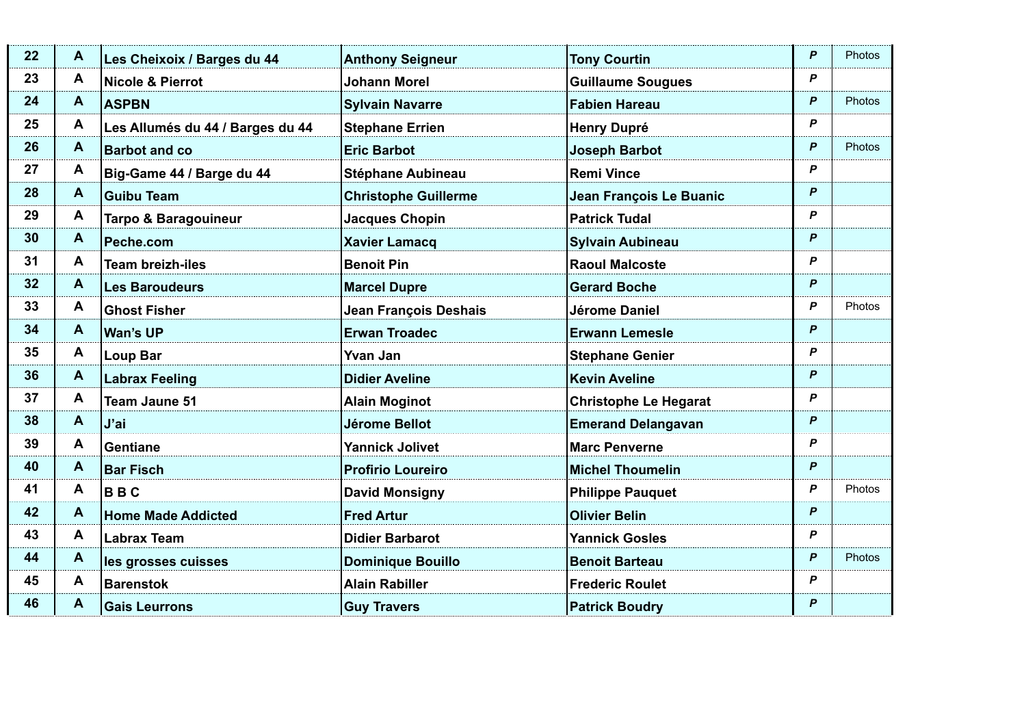| 22              | A            | Les Cheixoix / Barges du 44      | <b>Anthony Seigneur</b>     | <b>Tony Courtin</b>          | P | Photos        |
|-----------------|--------------|----------------------------------|-----------------------------|------------------------------|---|---------------|
| 23              | A            | Nicole & Pierrot                 | <b>Johann Morel</b>         | <b>Guillaume Sougues</b>     | P |               |
| 24              | A            | <b>ASPBN</b>                     | <b>Sylvain Navarre</b>      | <b>Fabien Hareau</b>         | P | <b>Photos</b> |
| 25              | A            | Les Allumés du 44 / Barges du 44 | <b>Stephane Errien</b>      | <b>Henry Dupré</b>           | P |               |
| 26              | $\mathbf{A}$ | <b>Barbot and co</b>             | <b>Eric Barbot</b>          | <b>Joseph Barbot</b>         | P | Photos        |
| 27              | A            | Big-Game 44 / Barge du 44        | Stéphane Aubineau           | <b>Remi Vince</b>            | P |               |
| 28              | A            | <b>Guibu Team</b>                | <b>Christophe Guillerme</b> | Jean François Le Buanic      | P |               |
| 29              | A            | <b>Tarpo &amp; Baragouineur</b>  | <b>Jacques Chopin</b>       | <b>Patrick Tudal</b>         | P |               |
| 30 <sub>o</sub> | A            | Peche.com                        | <b>Xavier Lamacq</b>        | <b>Sylvain Aubineau</b>      | P |               |
| 31              | A            | <b>Team breizh-iles</b>          | <b>Benoit Pin</b>           | <b>Raoul Malcoste</b>        | P |               |
| 32 <sub>2</sub> | $\mathbf{A}$ | <b>Les Baroudeurs</b>            | <b>Marcel Dupre</b>         | <b>Gerard Boche</b>          | P |               |
| 33 <sub>°</sub> | A            | <b>Ghost Fisher</b>              | Jean François Deshais       | Jérome Daniel                | P | <b>Photos</b> |
| 34              | A            | Wan's UP                         | <b>Erwan Troadec</b>        | <b>Erwann Lemesle</b>        | P |               |
| 35 <sub>5</sub> | A            | <b>Loup Bar</b>                  | <b>Yvan Jan</b>             | <b>Stephane Genier</b>       | P |               |
| 36              | A            | <b>Labrax Feeling</b>            | <b>Didier Aveline</b>       | <b>Kevin Aveline</b>         | P |               |
| 37              | A            | <b>Team Jaune 51</b>             | <b>Alain Moginot</b>        | <b>Christophe Le Hegarat</b> | P |               |
| 38              | A            | J'ai                             | Jérome Bellot               | <b>Emerand Delangavan</b>    | P |               |
| 39              | A            | Gentiane                         | <b>Yannick Jolivet</b>      | <b>Marc Penverne</b>         | P |               |
| 40              | A            | <b>Bar Fisch</b>                 | <b>Profirio Loureiro</b>    | <b>Michel Thoumelin</b>      | P |               |
| 41              | A            | <b>BBC</b>                       | <b>David Monsigny</b>       | <b>Philippe Pauquet</b>      | P | <b>Photos</b> |
| 42              | A            | <b>Home Made Addicted</b>        | <b>Fred Artur</b>           | <b>Olivier Belin</b>         | P |               |
| 43              | A            | <b>Labrax Team</b>               | <b>Didier Barbarot</b>      | <b>Yannick Gosles</b>        | P |               |
| 44              | A            | les grosses cuisses              | <b>Dominique Bouillo</b>    | <b>Benoit Barteau</b>        | P | Photos        |
| 45              | A            | <b>Barenstok</b>                 | <b>Alain Rabiller</b>       | <b>Frederic Roulet</b>       | P |               |
| 46              | A            | <b>Gais Leurrons</b>             | <b>Guy Travers</b>          | <b>Patrick Boudry</b>        | P |               |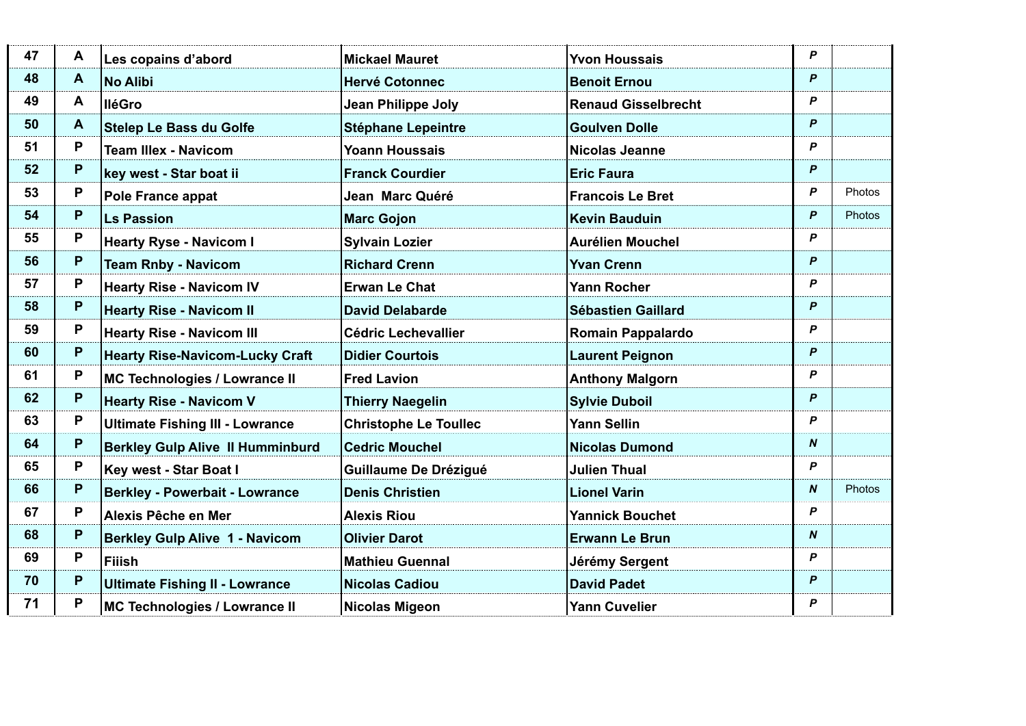| 47 | A  | Les copains d'abord                     | <b>Mickael Mauret</b>        | <b>Yvon Houssais</b>       | P                |               |
|----|----|-----------------------------------------|------------------------------|----------------------------|------------------|---------------|
| 48 | A  | <b>No Alibi</b>                         | <b>Hervé Cotonnec</b>        | <b>Benoit Ernou</b>        | P                |               |
| 49 | A  | <b>IléGro</b>                           | Jean Philippe Joly           | <b>Renaud Gisselbrecht</b> | P                |               |
| 50 | A  | <b>Stelep Le Bass du Golfe</b>          | <b>Stéphane Lepeintre</b>    | <b>Goulven Dolle</b>       | P                |               |
| 51 | P  | <b>Team Illex - Navicom</b>             | <b>Yoann Houssais</b>        | <b>Nicolas Jeanne</b>      | P                |               |
| 52 | P  | key west - Star boat ii                 | <b>Franck Courdier</b>       | <b>Eric Faura</b>          | P                |               |
| 53 | P  | Pole France appat                       | Jean Marc Quéré              | <b>Francois Le Bret</b>    | P                | Photos        |
| 54 | P  | <b>Ls Passion</b>                       | <b>Marc Gojon</b>            | <b>Kevin Bauduin</b>       | P                | <b>Photos</b> |
| 55 | P  | <b>Hearty Ryse - Navicom I</b>          | <b>Sylvain Lozier</b>        | <b>Aurélien Mouchel</b>    | P                |               |
| 56 | P. | <b>Team Rnby - Navicom</b>              | <b>Richard Crenn</b>         | <b>Yvan Crenn</b>          | P                |               |
| 57 | P  | <b>Hearty Rise - Navicom IV</b>         | <b>Erwan Le Chat</b>         | Yann Rocher                | P                |               |
| 58 | P  | <b>Hearty Rise - Navicom II</b>         | <b>David Delabarde</b>       | <b>Sébastien Gaillard</b>  | P                |               |
| 59 | P  | <b>Hearty Rise - Navicom III</b>        | <b>Cédric Lechevallier</b>   | Romain Pappalardo          | P                |               |
| 60 | P  | <b>Hearty Rise-Navicom-Lucky Craft</b>  | <b>Didier Courtois</b>       | <b>Laurent Peignon</b>     | P                |               |
| 61 | P  | MC Technologies / Lowrance II           | <b>Fred Lavion</b>           | <b>Anthony Malgorn</b>     | P                |               |
| 62 | P  | <b>Hearty Rise - Navicom V</b>          | <b>Thierry Naegelin</b>      | <b>Sylvie Duboil</b>       | P                |               |
| 63 | P  | <b>Ultimate Fishing III - Lowrance</b>  | <b>Christophe Le Toullec</b> | <b>Yann Sellin</b>         | P                |               |
| 64 | P  | <b>Berkley Gulp Alive II Humminburd</b> | <b>Cedric Mouchel</b>        | <b>Nicolas Dumond</b>      | N                |               |
| 65 | P  | Key west - Star Boat I                  | Guillaume De Drézigué        | <b>Julien Thual</b>        | P                |               |
| 66 | P  | <b>Berkley - Powerbait - Lowrance</b>   | <b>Denis Christien</b>       | <b>Lionel Varin</b>        | N                | <b>Photos</b> |
| 67 | P  | Alexis Pêche en Mer                     | <b>Alexis Riou</b>           | <b>Yannick Bouchet</b>     | P                |               |
| 68 | P  | <b>Berkley Gulp Alive 1 - Navicom</b>   | <b>Olivier Darot</b>         | <b>Erwann Le Brun</b>      | $\boldsymbol{N}$ |               |
| 69 | P  | <b>Filish</b>                           | <b>Mathieu Guennal</b>       | Jérémy Sergent             | P                |               |
| 70 | P  | <b>Ultimate Fishing II - Lowrance</b>   | <b>Nicolas Cadiou</b>        | <b>David Padet</b>         | P                |               |
| 71 | P  | MC Technologies / Lowrance II           | <b>Nicolas Migeon</b>        | <b>Yann Cuvelier</b>       | P                |               |